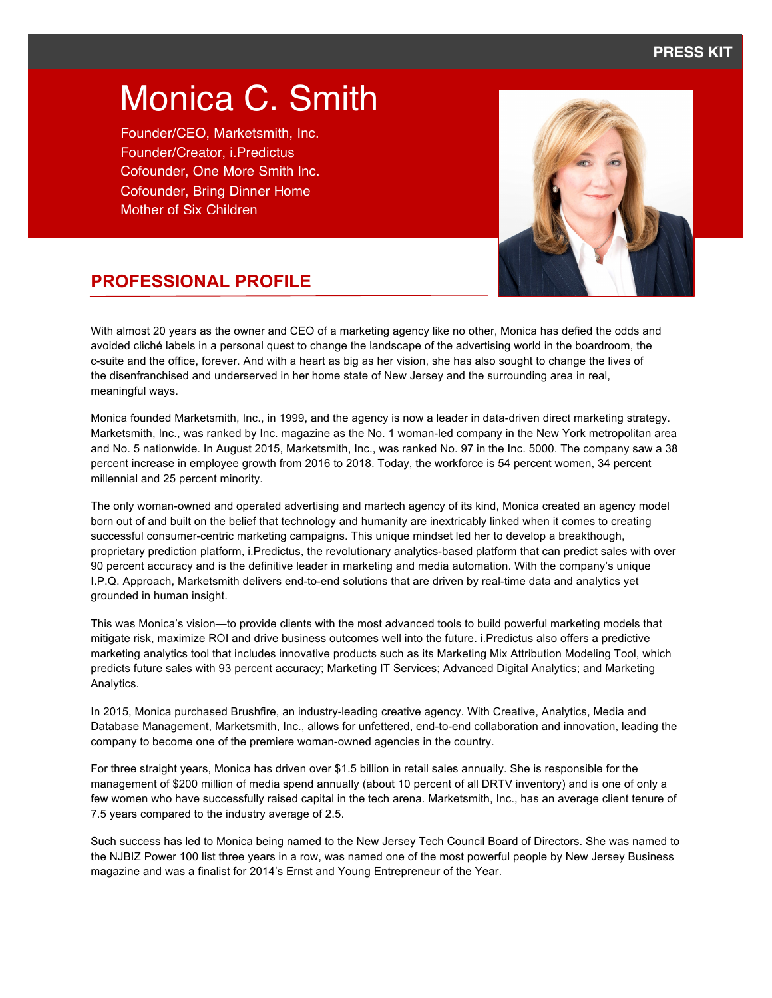# Monica C. Smith

Founder/CEO, Marketsmith, Inc. Founder/Creator, i.Predictus Cofounder, One More Smith Inc. Cofounder, Bring Dinner Home Mother of Six Children



# **PROFESSIONAL PROFILE**

With almost 20 years as the owner and CEO of a marketing agency like no other, Monica has defied the odds and avoided cliché labels in a personal quest to change the landscape of the advertising world in the boardroom, the c-suite and the office, forever. And with a heart as big as her vision, she has also sought to change the lives of the disenfranchised and underserved in her home state of New Jersey and the surrounding area in real, meaningful ways.

Monica founded Marketsmith, Inc., in 1999, and the agency is now a leader in data-driven direct marketing strategy. Marketsmith, Inc., was ranked by Inc. magazine as the No. 1 woman-led company in the New York metropolitan area and No. 5 nationwide. In August 2015, Marketsmith, Inc., was ranked No. 97 in the Inc. 5000. The company saw a 38 percent increase in employee growth from 2016 to 2018. Today, the workforce is 54 percent women, 34 percent millennial and 25 percent minority.

The only woman-owned and operated advertising and martech agency of its kind, Monica created an agency model born out of and built on the belief that technology and humanity are inextricably linked when it comes to creating successful consumer-centric marketing campaigns. This unique mindset led her to develop a breakthough, proprietary prediction platform, i.Predictus, the revolutionary analytics-based platform that can predict sales with over 90 percent accuracy and is the definitive leader in marketing and media automation. With the company's unique I.P.Q. Approach, Marketsmith delivers end-to-end solutions that are driven by real-time data and analytics yet grounded in human insight.

This was Monica's vision—to provide clients with the most advanced tools to build powerful marketing models that mitigate risk, maximize ROI and drive business outcomes well into the future. i.Predictus also offers a predictive marketing analytics tool that includes innovative products such as its Marketing Mix Attribution Modeling Tool, which predicts future sales with 93 percent accuracy; Marketing IT Services; Advanced Digital Analytics; and Marketing Analytics.

In 2015, Monica purchased Brushfire, an industry-leading creative agency. With Creative, Analytics, Media and Database Management, Marketsmith, Inc., allows for unfettered, end-to-end collaboration and innovation, leading the company to become one of the premiere woman-owned agencies in the country.

For three straight years, Monica has driven over \$1.5 billion in retail sales annually. She is responsible for the management of \$200 million of media spend annually (about 10 percent of all DRTV inventory) and is one of only a few women who have successfully raised capital in the tech arena. Marketsmith, Inc., has an average client tenure of 7.5 years compared to the industry average of 2.5.

Such success has led to Monica being named to the New Jersey Tech Council Board of Directors. She was named to the NJBIZ Power 100 list three years in a row, was named one of the most powerful people by New Jersey Business magazine and was a finalist for 2014's Ernst and Young Entrepreneur of the Year.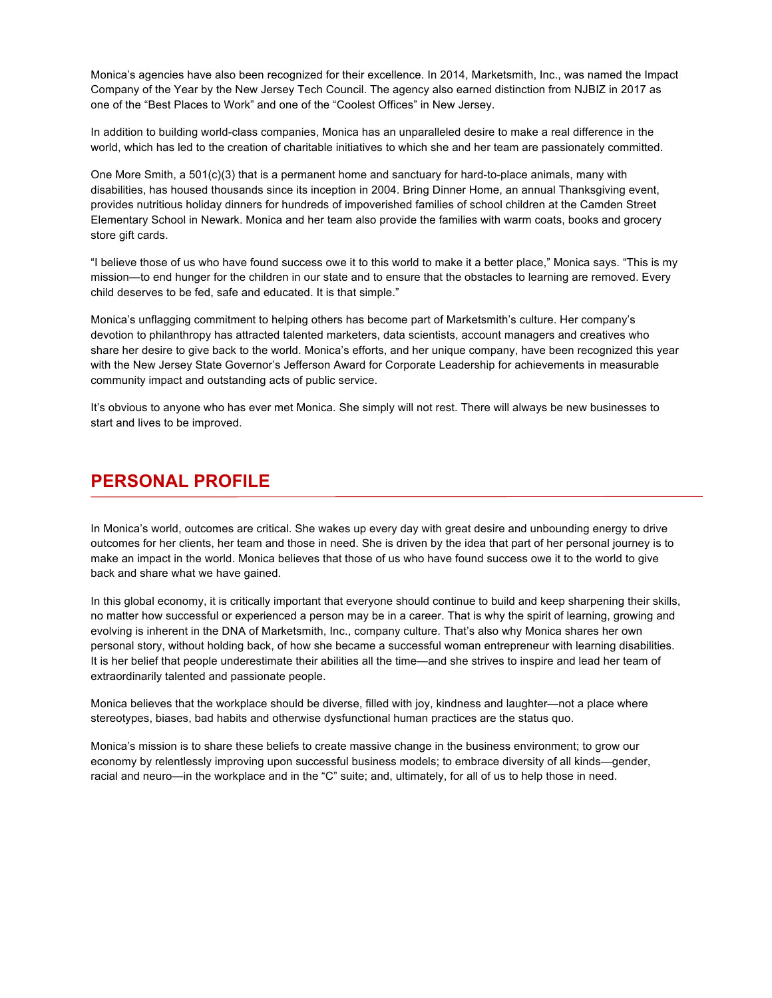Monica's agencies have also been recognized for their excellence. In 2014, Marketsmith, Inc., was named the Impact Company of the Year by the New Jersey Tech Council. The agency also earned distinction from NJBIZ in 2017 as one of the "Best Places to Work" and one of the "Coolest Offices" in New Jersey.

In addition to building world-class companies, Monica has an unparalleled desire to make a real difference in the world, which has led to the creation of charitable initiatives to which she and her team are passionately committed.

One More Smith, a 501(c)(3) that is a permanent home and sanctuary for hard-to-place animals, many with disabilities, has housed thousands since its inception in 2004. Bring Dinner Home, an annual Thanksgiving event, provides nutritious holiday dinners for hundreds of impoverished families of school children at the Camden Street Elementary School in Newark. Monica and her team also provide the families with warm coats, books and grocery store gift cards.

"I believe those of us who have found success owe it to this world to make it a better place," Monica says. "This is my mission—to end hunger for the children in our state and to ensure that the obstacles to learning are removed. Every child deserves to be fed, safe and educated. It is that simple."

Monica's unflagging commitment to helping others has become part of Marketsmith's culture. Her company's devotion to philanthropy has attracted talented marketers, data scientists, account managers and creatives who share her desire to give back to the world. Monica's efforts, and her unique company, have been recognized this year with the New Jersey State Governor's Jefferson Award for Corporate Leadership for achievements in measurable community impact and outstanding acts of public service.

It's obvious to anyone who has ever met Monica. She simply will not rest. There will always be new businesses to start and lives to be improved.

### **PERSONAL PROFILE**

In Monica's world, outcomes are critical. She wakes up every day with great desire and unbounding energy to drive outcomes for her clients, her team and those in need. She is driven by the idea that part of her personal journey is to make an impact in the world. Monica believes that those of us who have found success owe it to the world to give back and share what we have gained.

In this global economy, it is critically important that everyone should continue to build and keep sharpening their skills, no matter how successful or experienced a person may be in a career. That is why the spirit of learning, growing and evolving is inherent in the DNA of Marketsmith, Inc., company culture. That's also why Monica shares her own personal story, without holding back, of how she became a successful woman entrepreneur with learning disabilities. It is her belief that people underestimate their abilities all the time—and she strives to inspire and lead her team of extraordinarily talented and passionate people.

Monica believes that the workplace should be diverse, filled with joy, kindness and laughter—not a place where stereotypes, biases, bad habits and otherwise dysfunctional human practices are the status quo.

Monica's mission is to share these beliefs to create massive change in the business environment; to grow our economy by relentlessly improving upon successful business models; to embrace diversity of all kinds—gender, racial and neuro—in the workplace and in the "C" suite; and, ultimately, for all of us to help those in need.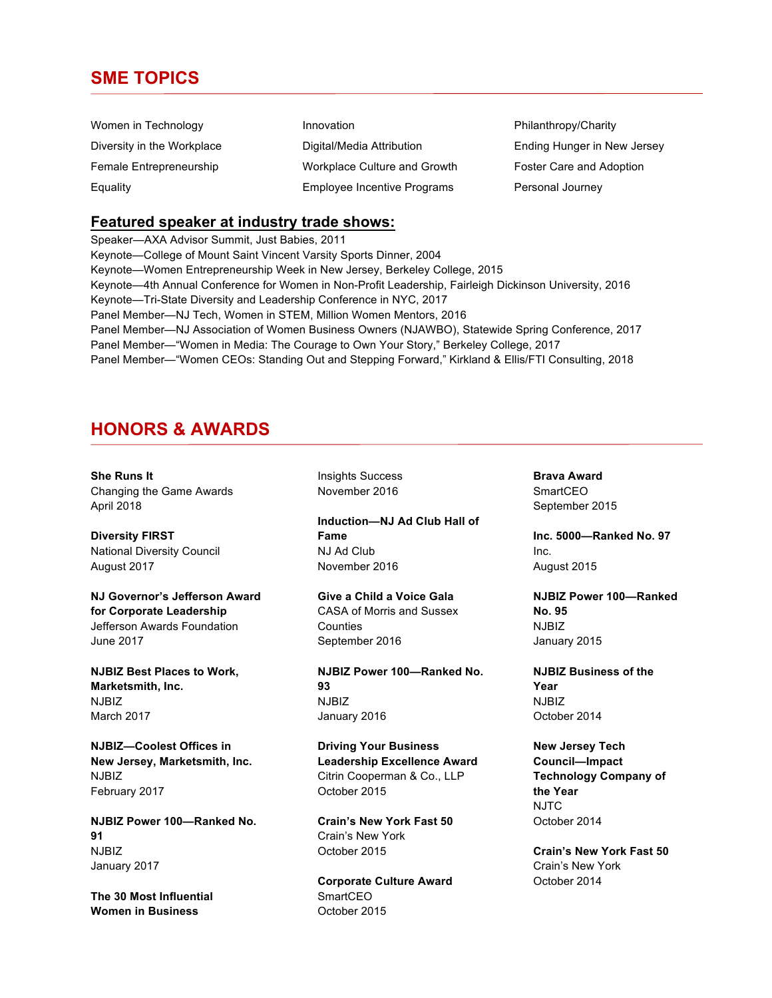### **SME TOPICS**

| Women in Technology        | Innovation                         | Philanthropy/Charity        |
|----------------------------|------------------------------------|-----------------------------|
| Diversity in the Workplace | Digital/Media Attribution          | Ending Hunger in New Jersey |
| Female Entrepreneurship    | Workplace Culture and Growth       | Foster Care and Adoption    |
| Equality                   | <b>Employee Incentive Programs</b> | Personal Journey            |

### **Featured speaker at industry trade shows:**

Speaker—AXA Advisor Summit, Just Babies, 2011 Keynote—College of Mount Saint Vincent Varsity Sports Dinner, 2004 Keynote—Women Entrepreneurship Week in New Jersey, Berkeley College, 2015 Keynote—4th Annual Conference for Women in Non-Profit Leadership, Fairleigh Dickinson University, 2016 Keynote—Tri-State Diversity and Leadership Conference in NYC, 2017 Panel Member—NJ Tech, Women in STEM, Million Women Mentors, 2016 Panel Member—NJ Association of Women Business Owners (NJAWBO), Statewide Spring Conference, 2017 Panel Member—"Women in Media: The Courage to Own Your Story," Berkeley College, 2017 Panel Member—"Women CEOs: Standing Out and Stepping Forward," Kirkland & Ellis/FTI Consulting, 2018

### **HONORS & AWARDS**

**She Runs It** Changing the Game Awards April 2018

**Diversity FIRST** National Diversity Council August 2017

**NJ Governor's Jefferson Award for Corporate Leadership** Jefferson Awards Foundation June 2017

**NJBIZ Best Places to Work, Marketsmith, Inc.** NJBIZ March 2017

**NJBIZ—Coolest Offices in New Jersey, Marketsmith, Inc.** NJBIZ February 2017

**NJBIZ Power 100—Ranked No. 91** NJBIZ January 2017

**The 30 Most Influential Women in Business**

Insights Success November 2016

**Induction—NJ Ad Club Hall of Fame** NJ Ad Club November 2016

**Give a Child a Voice Gala** CASA of Morris and Sussex **Counties** September 2016

**NJBIZ Power 100—Ranked No. 93** NJBIZ January 2016

**Driving Your Business Leadership Excellence Award** Citrin Cooperman & Co., LLP October 2015

**Crain's New York Fast 50** Crain's New York October 2015

**Corporate Culture Award SmartCEO** October 2015

**Brava Award SmartCEO** September 2015

**Inc. 5000—Ranked No. 97** Inc. August 2015

**NJBIZ Power 100—Ranked No. 95** NJBIZ January 2015

**NJBIZ Business of the Year** NJBIZ October 2014

**New Jersey Tech Council—Impact Technology Company of the Year** NJTC October 2014

**Crain's New York Fast 50** Crain's New York October 2014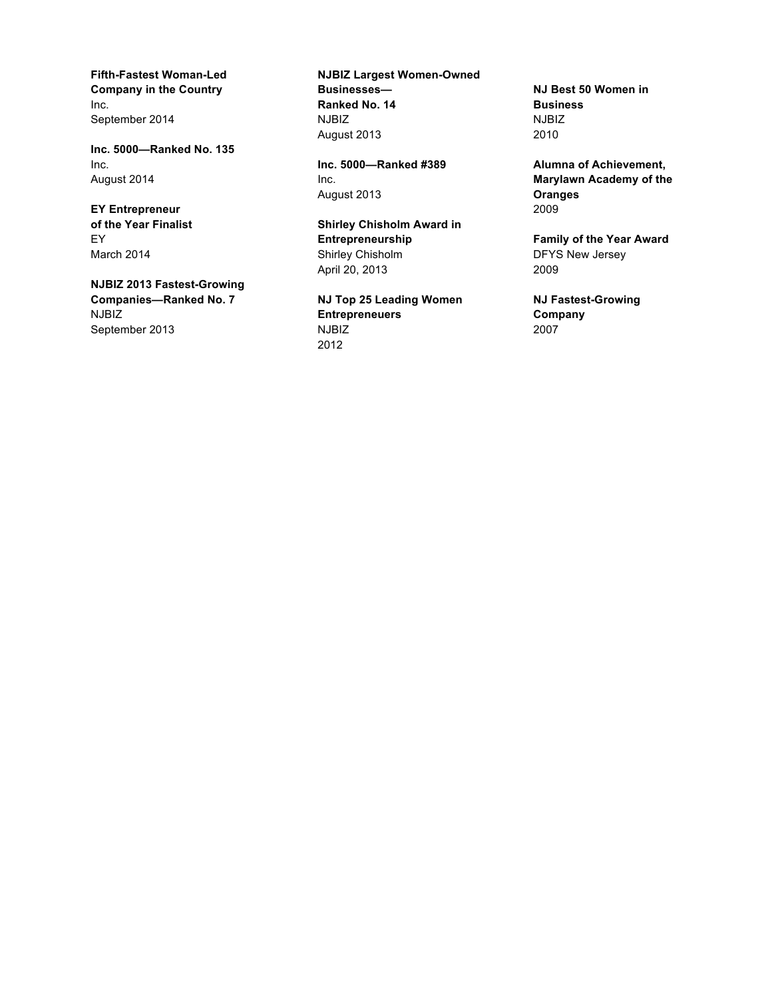**Fifth-Fastest Woman-Led Company in the Country** Inc. September 2014

**Inc. 5000—Ranked No. 135** Inc. August 2014

**EY Entrepreneur of the Year Finalist** EY March 2014

**NJBIZ 2013 Fastest-Growing Companies—Ranked No. 7** NJBIZ September 2013

**NJBIZ Largest Women-Owned Businesses— Ranked No. 14** NJBIZ August 2013

**Inc. 5000—Ranked #389** Inc. August 2013

**Shirley Chisholm Award in Entrepreneurship** Shirley Chisholm April 20, 2013

**NJ Top 25 Leading Women Entrepreneuers** NJBIZ 2012

**NJ Best 50 Women in Business** NJBIZ 2010

**Alumna of Achievement, Marylawn Academy of the Oranges** 2009

**Family of the Year Award** DFYS New Jersey 2009

**NJ Fastest-Growing Company** 2007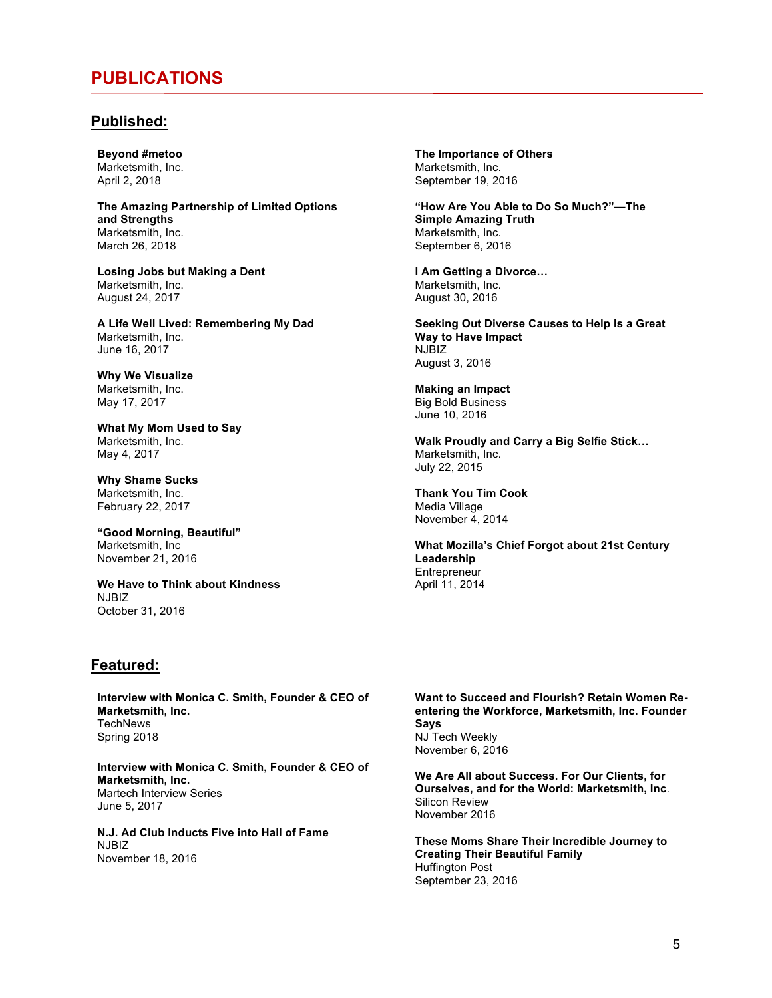### **PUBLICATIONS**

### **Published:**

**Beyond #metoo** Marketsmith, Inc. April 2, 2018

**The Amazing Partnership of Limited Options and Strengths** Marketsmith, Inc. March 26, 2018

**Losing Jobs but Making a Dent** Marketsmith, Inc. August 24, 2017

**A Life Well Lived: Remembering My Dad** Marketsmith, Inc. June 16, 2017

**Why We Visualize** Marketsmith, Inc. May 17, 2017

**What My Mom Used to Say** Marketsmith, Inc. May 4, 2017

**Why Shame Sucks** Marketsmith, Inc. February 22, 2017

**"Good Morning, Beautiful"** Marketsmith, Inc November 21, 2016

**We Have to Think about Kindness** NJRIZ October 31, 2016

### **Featured:**

**Interview with Monica C. Smith, Founder & CEO of Marketsmith, Inc. TechNews** Spring 2018

**Interview with Monica C. Smith, Founder & CEO of Marketsmith, Inc.** Martech Interview Series June 5, 2017

**N.J. Ad Club Inducts Five into Hall of Fame** NJBIZ November 18, 2016

**The Importance of Others** Marketsmith, Inc. September 19, 2016

**"How Are You Able to Do So Much?"—The Simple Amazing Truth** Marketsmith, Inc. September 6, 2016

**I Am Getting a Divorce…** Marketsmith, Inc. August 30, 2016

**Seeking Out Diverse Causes to Help Is a Great Way to Have Impact** NJBIZ August 3, 2016

**Making an Impact** Big Bold Business June 10, 2016

**Walk Proudly and Carry a Big Selfie Stick…** Marketsmith, Inc. July 22, 2015

**Thank You Tim Cook** Media Village November 4, 2014

**What Mozilla's Chief Forgot about 21st Century Leadership Entrepreneur** April 11, 2014

**Want to Succeed and Flourish? Retain Women Reentering the Workforce, Marketsmith, Inc. Founder Says** NJ Tech Weekly November 6, 2016

**We Are All about Success. For Our Clients, for Ourselves, and for the World: Marketsmith, Inc**. Silicon Review November 2016

**These Moms Share Their Incredible Journey to Creating Their Beautiful Family** Huffington Post September 23, 2016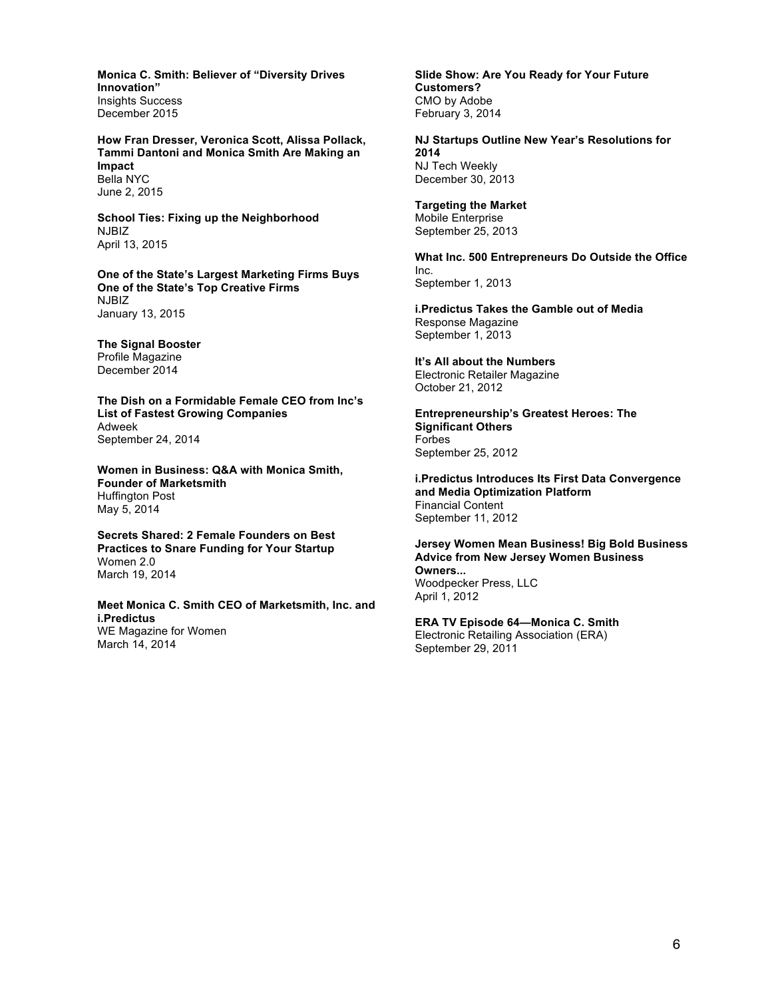**Monica C. Smith: Believer of "Diversity Drives Innovation"** Insights Success December 2015

**How Fran Dresser, Veronica Scott, Alissa Pollack, Tammi Dantoni and Monica Smith Are Making an Impact** Bella NYC June 2, 2015

**School Ties: Fixing up the Neighborhood**  NJBIZ April 13, 2015

**One of the State's Largest Marketing Firms Buys One of the State's Top Creative Firms** NJBIZ January 13, 2015

**The Signal Booster** Profile Magazine December 2014

**The Dish on a Formidable Female CEO from Inc's List of Fastest Growing Companies** Adweek September 24, 2014

**Women in Business: Q&A with Monica Smith, Founder of Marketsmith** Huffington Post May 5, 2014

**Secrets Shared: 2 Female Founders on Best Practices to Snare Funding for Your Startup** Women 2.0 March 19, 2014

**Meet Monica C. Smith CEO of Marketsmith, Inc. and i.Predictus** WE Magazine for Women March 14, 2014

**Slide Show: Are You Ready for Your Future Customers?** CMO by Adobe February 3, 2014

**NJ Startups Outline New Year's Resolutions for 2014** NJ Tech Weekly December 30, 2013

**Targeting the Market** Mobile Enterprise September 25, 2013

**What Inc. 500 Entrepreneurs Do Outside the Office** Inc. September 1, 2013

**i.Predictus Takes the Gamble out of Media** Response Magazine September 1, 2013

**It's All about the Numbers** Electronic Retailer Magazine October 21, 2012

**Entrepreneurship's Greatest Heroes: The Significant Others** Forbes September 25, 2012

**i.Predictus Introduces Its First Data Convergence and Media Optimization Platform** Financial Content September 11, 2012

**Jersey Women Mean Business! Big Bold Business Advice from New Jersey Women Business Owners...** Woodpecker Press, LLC April 1, 2012

**ERA TV Episode 64—Monica C. Smith** Electronic Retailing Association (ERA) September 29, 2011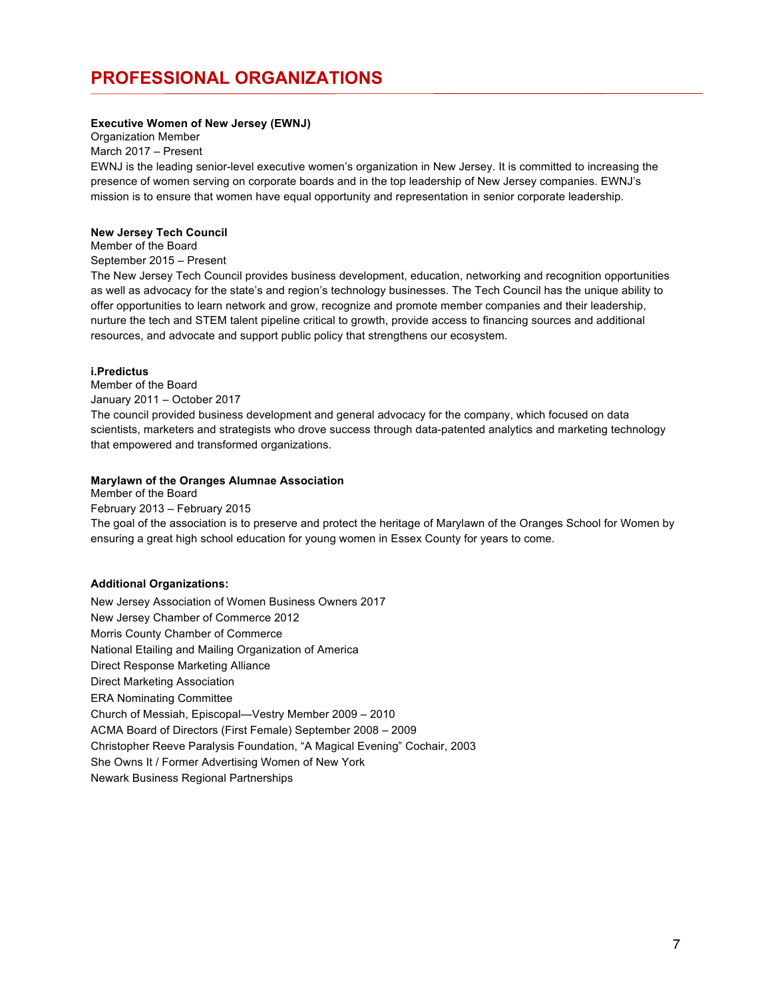# **PROFESSIONAL ORGANIZATIONS**

#### **Executive Women of New Jersey (EWNJ)**

Organization Member

March 2017 – Present

EWNJ is the leading senior-level executive women's organization in New Jersey. It is committed to increasing the presence of women serving on corporate boards and in the top leadership of New Jersey companies. EWNJ's mission is to ensure that women have equal opportunity and representation in senior corporate leadership.

#### **New Jersey Tech Council**

Member of the Board

September 2015 – Present

The New Jersey Tech Council provides business development, education, networking and recognition opportunities as well as advocacy for the state's and region's technology businesses. The Tech Council has the unique ability to offer opportunities to learn network and grow, recognize and promote member companies and their leadership, nurture the tech and STEM talent pipeline critical to growth, provide access to financing sources and additional resources, and advocate and support public policy that strengthens our ecosystem.

#### **i.Predictus**

Member of the Board January 2011 – October 2017

The council provided business development and general advocacy for the company, which focused on data scientists, marketers and strategists who drove success through data-patented analytics and marketing technology that empowered and transformed organizations.

#### **Marylawn of the Oranges Alumnae Association**

Member of the Board February 2013 – February 2015 The goal of the association is to preserve and protect the heritage of Marylawn of the Oranges School for Women by ensuring a great high school education for young women in Essex County for years to come.

#### **Additional Organizations:**

New Jersey Association of Women Business Owners 2017 New Jersey Chamber of Commerce 2012 Morris County Chamber of Commerce National Etailing and Mailing Organization of America Direct Response Marketing Alliance Direct Marketing Association ERA Nominating Committee Church of Messiah, Episcopal—Vestry Member 2009 – 2010 ACMA Board of Directors (First Female) September 2008 – 2009 Christopher Reeve Paralysis Foundation, "A Magical Evening" Cochair, 2003 She Owns It / Former Advertising Women of New York Newark Business Regional Partnerships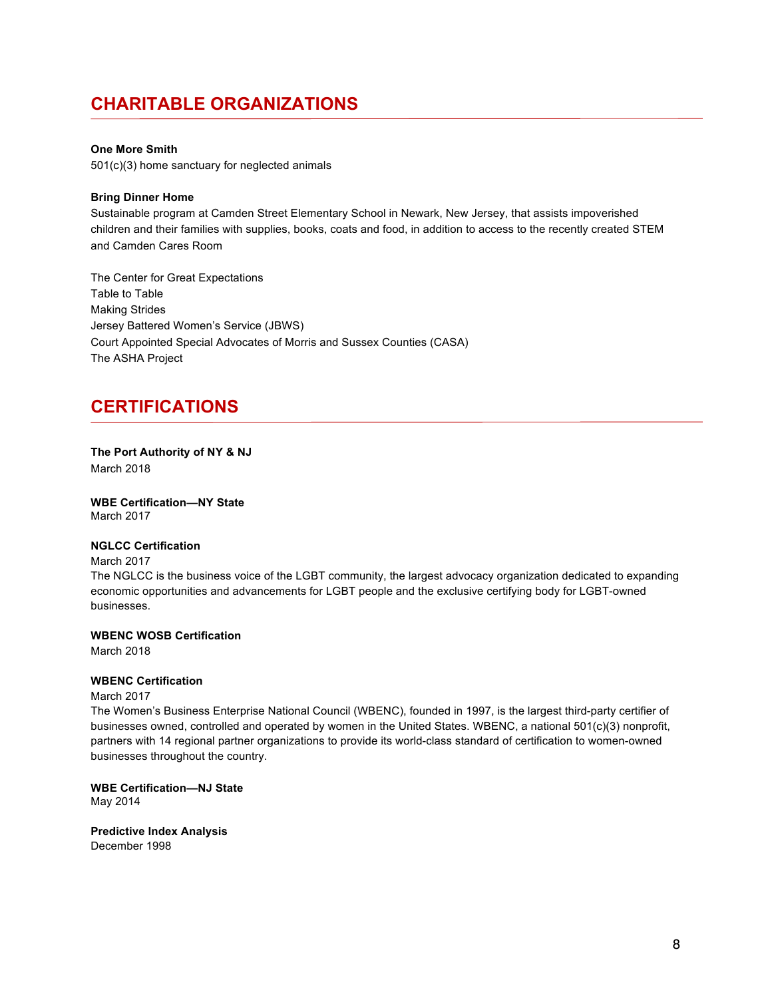# **CHARITABLE ORGANIZATIONS**

#### **One More Smith**

501(c)(3) home sanctuary for neglected animals

#### **Bring Dinner Home**

Sustainable program at Camden Street Elementary School in Newark, New Jersey, that assists impoverished children and their families with supplies, books, coats and food, in addition to access to the recently created STEM and Camden Cares Room

The Center for Great Expectations Table to Table Making Strides Jersey Battered Women's Service (JBWS) Court Appointed Special Advocates of Morris and Sussex Counties (CASA) The ASHA Project

### **CERTIFICATIONS**

**The Port Authority of NY & NJ** March 2018

**WBE Certification—NY State** March 2017

#### **NGLCC Certification**

#### March 2017

The NGLCC is the business voice of the LGBT community, the largest advocacy organization dedicated to expanding economic opportunities and advancements for LGBT people and the exclusive certifying body for LGBT-owned businesses.

**WBENC WOSB Certification**

March 2018

#### **WBENC Certification**

March 2017

The Women's Business Enterprise National Council (WBENC), founded in 1997, is the largest third-party certifier of businesses owned, controlled and operated by women in the United States. WBENC, a national 501(c)(3) nonprofit, partners with 14 regional partner organizations to provide its world-class standard of certification to women-owned businesses throughout the country.

**WBE Certification—NJ State** May 2014

**Predictive Index Analysis** December 1998